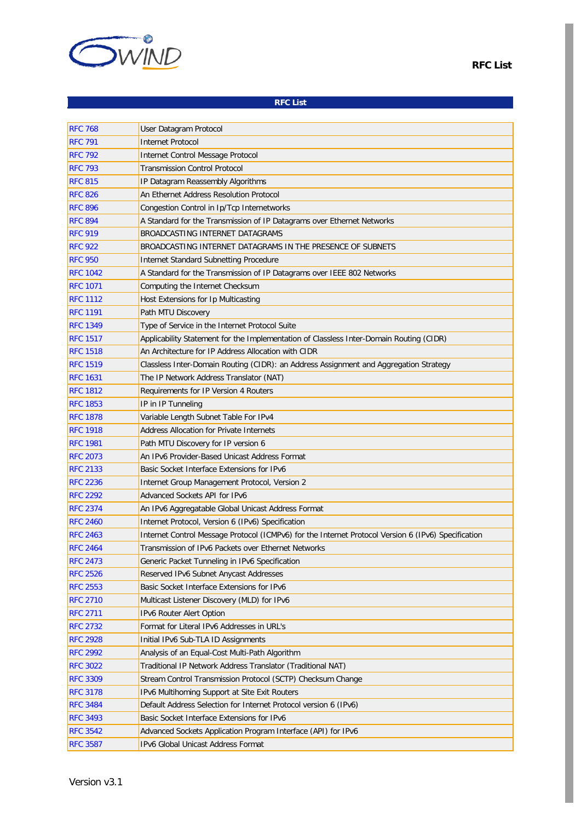

## **RFC List**

| <b>RFC 768</b>  | User Datagram Protocol                                                                              |
|-----------------|-----------------------------------------------------------------------------------------------------|
| <b>RFC 791</b>  | Internet Protocol                                                                                   |
| <b>RFC 792</b>  | Internet Control Message Protocol                                                                   |
| <b>RFC 793</b>  | <b>Transmission Control Protocol</b>                                                                |
| <b>RFC 815</b>  | IP Datagram Reassembly Algorithms                                                                   |
| <b>RFC 826</b>  | An Ethernet Address Resolution Protocol                                                             |
| <b>RFC 896</b>  | Congestion Control in Ip/Tcp Internetworks                                                          |
| <b>RFC 894</b>  | A Standard for the Transmission of IP Datagrams over Ethernet Networks                              |
| <b>RFC 919</b>  | BROADCASTING INTERNET DATAGRAMS                                                                     |
| <b>RFC 922</b>  | BROADCASTING INTERNET DATAGRAMS IN THE PRESENCE OF SUBNETS                                          |
| <b>RFC 950</b>  | Internet Standard Subnetting Procedure                                                              |
| <b>RFC 1042</b> | A Standard for the Transmission of IP Datagrams over IEEE 802 Networks                              |
| <b>RFC 1071</b> | Computing the Internet Checksum                                                                     |
| <b>RFC 1112</b> | Host Extensions for Ip Multicasting                                                                 |
| <b>RFC 1191</b> | Path MTU Discovery                                                                                  |
| <b>RFC 1349</b> | Type of Service in the Internet Protocol Suite                                                      |
| <b>RFC 1517</b> | Applicability Statement for the Implementation of Classless Inter-Domain Routing (CIDR)             |
| <b>RFC 1518</b> | An Architecture for IP Address Allocation with CIDR                                                 |
| <b>RFC 1519</b> | Classless Inter-Domain Routing (CIDR): an Address Assignment and Aggregation Strategy               |
| <b>RFC 1631</b> | The IP Network Address Translator (NAT)                                                             |
| <b>RFC 1812</b> | Requirements for IP Version 4 Routers                                                               |
| <b>RFC 1853</b> | IP in IP Tunneling                                                                                  |
| <b>RFC 1878</b> | Variable Length Subnet Table For IPv4                                                               |
| <b>RFC 1918</b> | <b>Address Allocation for Private Internets</b>                                                     |
| <b>RFC 1981</b> | Path MTU Discovery for IP version 6                                                                 |
| <b>RFC 2073</b> | An IPv6 Provider-Based Unicast Address Format                                                       |
| <b>RFC 2133</b> | Basic Socket Interface Extensions for IPv6                                                          |
| <b>RFC 2236</b> | Internet Group Management Protocol, Version 2                                                       |
| <b>RFC 2292</b> | Advanced Sockets API for IPv6                                                                       |
| <b>RFC 2374</b> | An IPv6 Aggregatable Global Unicast Address Format                                                  |
| <b>RFC 2460</b> | Internet Protocol, Version 6 (IPv6) Specification                                                   |
| <b>RFC 2463</b> | Internet Control Message Protocol (ICMPv6) for the Internet Protocol Version 6 (IPv6) Specification |
| <b>RFC 2464</b> | Transmission of IPv6 Packets over Ethernet Networks                                                 |
| <b>RFC 2473</b> | Generic Packet Tunneling in IPv6 Specification                                                      |
| <b>RFC 2526</b> | Reserved IPv6 Subnet Anycast Addresses                                                              |
| <b>RFC 2553</b> | Basic Socket Interface Extensions for IPv6                                                          |
| <b>RFC 2710</b> | Multicast Listener Discovery (MLD) for IPv6                                                         |
| <b>RFC 2711</b> | IPv6 Router Alert Option                                                                            |
| <b>RFC 2732</b> | Format for Literal IPv6 Addresses in URL's                                                          |
| <b>RFC 2928</b> | Initial IPv6 Sub-TLA ID Assignments                                                                 |
| <b>RFC 2992</b> | Analysis of an Equal-Cost Multi-Path Algorithm                                                      |
| <b>RFC 3022</b> | Traditional IP Network Address Translator (Traditional NAT)                                         |
| <b>RFC 3309</b> | Stream Control Transmission Protocol (SCTP) Checksum Change                                         |
| <b>RFC 3178</b> | IPv6 Multihoming Support at Site Exit Routers                                                       |
| <b>RFC 3484</b> | Default Address Selection for Internet Protocol version 6 (IPv6)                                    |
| <b>RFC 3493</b> | Basic Socket Interface Extensions for IPv6                                                          |
| <b>RFC 3542</b> | Advanced Sockets Application Program Interface (API) for IPv6                                       |
| <b>RFC 3587</b> | IPv6 Global Unicast Address Format                                                                  |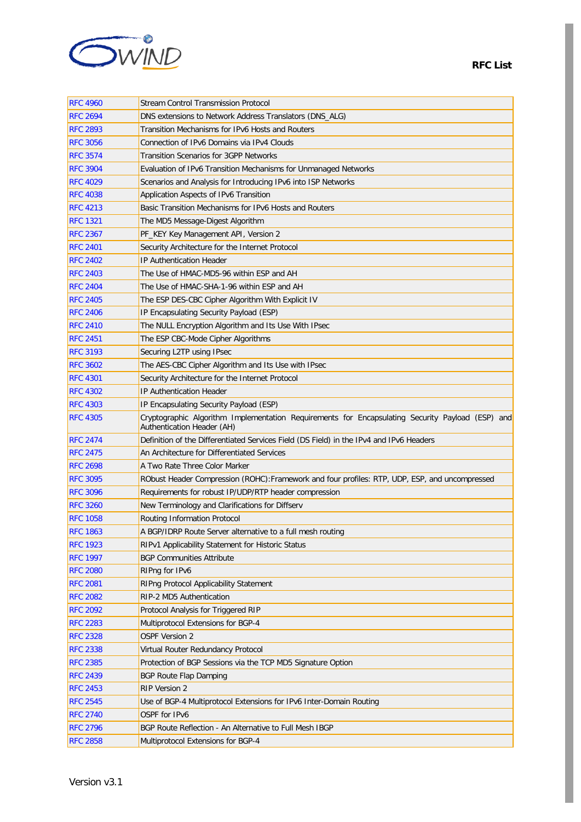

| <b>RFC 4960</b> | Stream Control Transmission Protocol                                                                                           |
|-----------------|--------------------------------------------------------------------------------------------------------------------------------|
| <b>RFC 2694</b> | DNS extensions to Network Address Translators (DNS_ALG)                                                                        |
| <b>RFC 2893</b> | Transition Mechanisms for IPv6 Hosts and Routers                                                                               |
| <b>RFC 3056</b> | Connection of IPv6 Domains via IPv4 Clouds                                                                                     |
| <b>RFC 3574</b> | Transition Scenarios for 3GPP Networks                                                                                         |
| <b>RFC 3904</b> | Evaluation of IPv6 Transition Mechanisms for Unmanaged Networks                                                                |
| <b>RFC 4029</b> | Scenarios and Analysis for Introducing IPv6 into ISP Networks                                                                  |
| <b>RFC 4038</b> | Application Aspects of IPv6 Transition                                                                                         |
| <b>RFC 4213</b> | Basic Transition Mechanisms for IPv6 Hosts and Routers                                                                         |
| <b>RFC 1321</b> | The MD5 Message-Digest Algorithm                                                                                               |
| <b>RFC 2367</b> | PF_KEY Key Management API, Version 2                                                                                           |
| <b>RFC 2401</b> | Security Architecture for the Internet Protocol                                                                                |
| <b>RFC 2402</b> | IP Authentication Header                                                                                                       |
| <b>RFC 2403</b> | The Use of HMAC-MD5-96 within ESP and AH                                                                                       |
| <b>RFC 2404</b> | The Use of HMAC-SHA-1-96 within ESP and AH                                                                                     |
| <b>RFC 2405</b> | The ESP DES-CBC Cipher Algorithm With Explicit IV                                                                              |
| <b>RFC 2406</b> | IP Encapsulating Security Payload (ESP)                                                                                        |
| <b>RFC 2410</b> | The NULL Encryption Algorithm and Its Use With IPsec                                                                           |
| <b>RFC 2451</b> | The ESP CBC-Mode Cipher Algorithms                                                                                             |
| <b>RFC 3193</b> | Securing L2TP using IPsec                                                                                                      |
| <b>RFC 3602</b> | The AES-CBC Cipher Algorithm and Its Use with IPsec                                                                            |
| <b>RFC 4301</b> | Security Architecture for the Internet Protocol                                                                                |
| <b>RFC 4302</b> | IP Authentication Header                                                                                                       |
| <b>RFC 4303</b> | IP Encapsulating Security Payload (ESP)                                                                                        |
| <b>RFC 4305</b> | Cryptographic Algorithm Implementation Requirements for Encapsulating Security Payload (ESP) and<br>Authentication Header (AH) |
| <b>RFC 2474</b> | Definition of the Differentiated Services Field (DS Field) in the IPv4 and IPv6 Headers                                        |
| <b>RFC 2475</b> | An Architecture for Differentiated Services                                                                                    |
| <b>RFC 2698</b> | A Two Rate Three Color Marker                                                                                                  |
| <b>RFC 3095</b> | RObust Header Compression (ROHC): Framework and four profiles: RTP, UDP, ESP, and uncompressed                                 |
| <b>RFC 3096</b> | Requirements for robust IP/UDP/RTP header compression                                                                          |
| <b>RFC 3260</b> | New Terminology and Clarifications for Diffserv                                                                                |
| <b>RFC 1058</b> | Routing Information Protocol                                                                                                   |
| <b>RFC 1863</b> | A BGP/IDRP Route Server alternative to a full mesh routing                                                                     |
| <b>RFC 1923</b> | RIPv1 Applicability Statement for Historic Status                                                                              |
| <b>RFC 1997</b> | <b>BGP Communities Attribute</b>                                                                                               |
| <b>RFC 2080</b> | RIPng for IPv6                                                                                                                 |
| <b>RFC 2081</b> | RIPng Protocol Applicability Statement                                                                                         |
| <b>RFC 2082</b> | RIP-2 MD5 Authentication                                                                                                       |
| <b>RFC 2092</b> | Protocol Analysis for Triggered RIP                                                                                            |
| <b>RFC 2283</b> | Multiprotocol Extensions for BGP-4                                                                                             |
| <b>RFC 2328</b> | <b>OSPF Version 2</b>                                                                                                          |
| <b>RFC 2338</b> | Virtual Router Redundancy Protocol                                                                                             |
| <b>RFC 2385</b> | Protection of BGP Sessions via the TCP MD5 Signature Option                                                                    |
| <b>RFC 2439</b> | <b>BGP Route Flap Damping</b>                                                                                                  |
| <b>RFC 2453</b> | RIP Version 2                                                                                                                  |
| <b>RFC 2545</b> | Use of BGP-4 Multiprotocol Extensions for IPv6 Inter-Domain Routing                                                            |
| <b>RFC 2740</b> | OSPF for IPv6                                                                                                                  |
| <b>RFC 2796</b> | BGP Route Reflection - An Alternative to Full Mesh IBGP                                                                        |
| <b>RFC 2858</b> | Multiprotocol Extensions for BGP-4                                                                                             |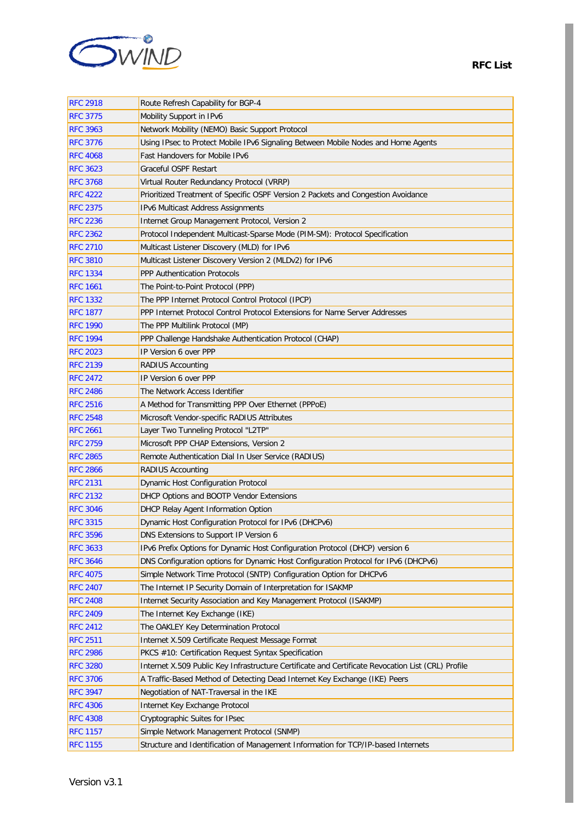

| <b>RFC 2918</b> | Route Refresh Capability for BGP-4                                                                 |
|-----------------|----------------------------------------------------------------------------------------------------|
| <b>RFC 3775</b> | Mobility Support in IPv6                                                                           |
| <b>RFC 3963</b> | Network Mobility (NEMO) Basic Support Protocol                                                     |
| <b>RFC 3776</b> | Using IPsec to Protect Mobile IPv6 Signaling Between Mobile Nodes and Home Agents                  |
| <b>RFC 4068</b> | Fast Handovers for Mobile IPv6                                                                     |
| <b>RFC 3623</b> | <b>Graceful OSPF Restart</b>                                                                       |
| <b>RFC 3768</b> | Virtual Router Redundancy Protocol (VRRP)                                                          |
| <b>RFC 4222</b> | Prioritized Treatment of Specific OSPF Version 2 Packets and Congestion Avoidance                  |
| <b>RFC 2375</b> | <b>IPv6 Multicast Address Assignments</b>                                                          |
| <b>RFC 2236</b> | Internet Group Management Protocol, Version 2                                                      |
| <b>RFC 2362</b> | Protocol Independent Multicast-Sparse Mode (PIM-SM): Protocol Specification                        |
| <b>RFC 2710</b> | Multicast Listener Discovery (MLD) for IPv6                                                        |
| <b>RFC 3810</b> | Multicast Listener Discovery Version 2 (MLDv2) for IPv6                                            |
| <b>RFC 1334</b> | <b>PPP Authentication Protocols</b>                                                                |
| <b>RFC 1661</b> | The Point-to-Point Protocol (PPP)                                                                  |
| <b>RFC 1332</b> | The PPP Internet Protocol Control Protocol (IPCP)                                                  |
| <b>RFC 1877</b> | PPP Internet Protocol Control Protocol Extensions for Name Server Addresses                        |
| <b>RFC 1990</b> | The PPP Multilink Protocol (MP)                                                                    |
| <b>RFC 1994</b> | PPP Challenge Handshake Authentication Protocol (CHAP)                                             |
| <b>RFC 2023</b> | IP Version 6 over PPP                                                                              |
| <b>RFC 2139</b> | <b>RADIUS Accounting</b>                                                                           |
| <b>RFC 2472</b> | IP Version 6 over PPP                                                                              |
| <b>RFC 2486</b> | The Network Access Identifier                                                                      |
| <b>RFC 2516</b> | A Method for Transmitting PPP Over Ethernet (PPPoE)                                                |
| <b>RFC 2548</b> | Microsoft Vendor-specific RADIUS Attributes                                                        |
| <b>RFC 2661</b> | Layer Two Tunneling Protocol "L2TP"                                                                |
| <b>RFC 2759</b> | Microsoft PPP CHAP Extensions, Version 2                                                           |
| <b>RFC 2865</b> | Remote Authentication Dial In User Service (RADIUS)                                                |
| <b>RFC 2866</b> | <b>RADIUS Accounting</b>                                                                           |
| <b>RFC 2131</b> | Dynamic Host Configuration Protocol                                                                |
| <b>RFC 2132</b> | DHCP Options and BOOTP Vendor Extensions                                                           |
| <b>RFC 3046</b> | DHCP Relay Agent Information Option                                                                |
| <b>RFC 3315</b> | Dynamic Host Configuration Protocol for IPv6 (DHCPv6)                                              |
| <b>RFC 3596</b> | DNS Extensions to Support IP Version 6                                                             |
| <b>RFC 3633</b> | IPv6 Prefix Options for Dynamic Host Configuration Protocol (DHCP) version 6                       |
| <b>RFC 3646</b> | DNS Configuration options for Dynamic Host Configuration Protocol for IPv6 (DHCPv6)                |
| <b>RFC 4075</b> | Simple Network Time Protocol (SNTP) Configuration Option for DHCPv6                                |
| <b>RFC 2407</b> | The Internet IP Security Domain of Interpretation for ISAKMP                                       |
| <b>RFC 2408</b> | Internet Security Association and Key Management Protocol (ISAKMP)                                 |
| <b>RFC 2409</b> | The Internet Key Exchange (IKE)                                                                    |
| <b>RFC 2412</b> | The OAKLEY Key Determination Protocol                                                              |
| <b>RFC 2511</b> | Internet X.509 Certificate Request Message Format                                                  |
| <b>RFC 2986</b> | PKCS #10: Certification Request Syntax Specification                                               |
| <b>RFC 3280</b> | Internet X.509 Public Key Infrastructure Certificate and Certificate Revocation List (CRL) Profile |
| <b>RFC 3706</b> | A Traffic-Based Method of Detecting Dead Internet Key Exchange (IKE) Peers                         |
| <b>RFC 3947</b> | Negotiation of NAT-Traversal in the IKE                                                            |
| <b>RFC 4306</b> | Internet Key Exchange Protocol                                                                     |
| <b>RFC 4308</b> | Cryptographic Suites for IPsec                                                                     |
| <b>RFC 1157</b> | Simple Network Management Protocol (SNMP)                                                          |
| <b>RFC 1155</b> | Structure and Identification of Management Information for TCP/IP-based Internets                  |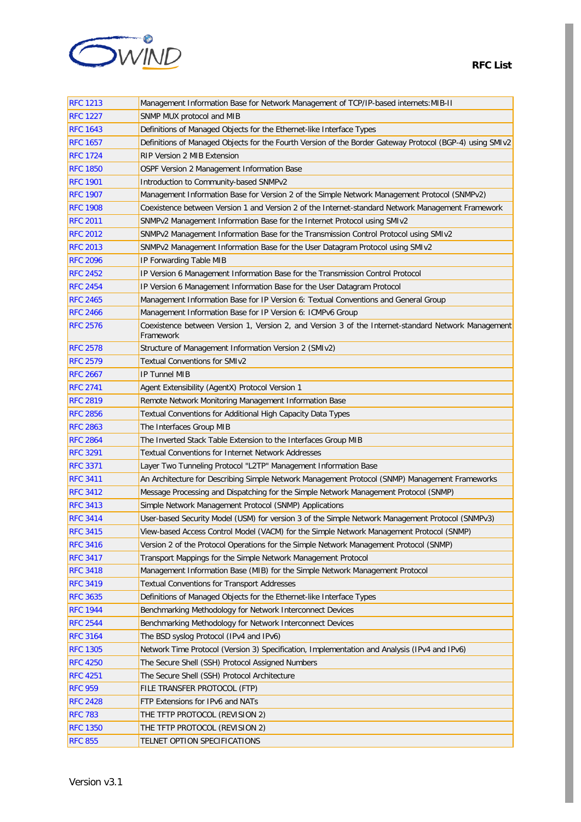

| <b>RFC 1213</b> | Management Information Base for Network Management of TCP/IP-based internets: MIB-II                             |
|-----------------|------------------------------------------------------------------------------------------------------------------|
| <b>RFC 1227</b> | SNMP MUX protocol and MIB                                                                                        |
| <b>RFC 1643</b> | Definitions of Managed Objects for the Ethernet-like Interface Types                                             |
| <b>RFC 1657</b> | Definitions of Managed Objects for the Fourth Version of the Border Gateway Protocol (BGP-4) using SMIv2         |
| <b>RFC 1724</b> | <b>RIP Version 2 MIB Extension</b>                                                                               |
| <b>RFC 1850</b> | OSPF Version 2 Management Information Base                                                                       |
| <b>RFC 1901</b> | Introduction to Community-based SNMPv2                                                                           |
| <b>RFC 1907</b> | Management Information Base for Version 2 of the Simple Network Management Protocol (SNMPv2)                     |
| <b>RFC 1908</b> | Coexistence between Version 1 and Version 2 of the Internet-standard Network Management Framework                |
| <b>RFC 2011</b> | SNMPv2 Management Information Base for the Internet Protocol using SMIv2                                         |
| <b>RFC 2012</b> | SNMPv2 Management Information Base for the Transmission Control Protocol using SMIv2                             |
| <b>RFC 2013</b> | SNMPv2 Management Information Base for the User Datagram Protocol using SMIv2                                    |
| <b>RFC 2096</b> | IP Forwarding Table MIB                                                                                          |
| <b>RFC 2452</b> | IP Version 6 Management Information Base for the Transmission Control Protocol                                   |
| <b>RFC 2454</b> | IP Version 6 Management Information Base for the User Datagram Protocol                                          |
| <b>RFC 2465</b> | Management Information Base for IP Version 6: Textual Conventions and General Group                              |
| <b>RFC 2466</b> | Management Information Base for IP Version 6: ICMPv6 Group                                                       |
| <b>RFC 2576</b> | Coexistence between Version 1, Version 2, and Version 3 of the Internet-standard Network Management<br>Framework |
| <b>RFC 2578</b> | Structure of Management Information Version 2 (SMIv2)                                                            |
| <b>RFC 2579</b> | Textual Conventions for SMIv2                                                                                    |
| <b>RFC 2667</b> | <b>IP Tunnel MIB</b>                                                                                             |
| <b>RFC 2741</b> | Agent Extensibility (AgentX) Protocol Version 1                                                                  |
| <b>RFC 2819</b> | Remote Network Monitoring Management Information Base                                                            |
| <b>RFC 2856</b> | Textual Conventions for Additional High Capacity Data Types                                                      |
| <b>RFC 2863</b> | The Interfaces Group MIB                                                                                         |
| <b>RFC 2864</b> | The Inverted Stack Table Extension to the Interfaces Group MIB                                                   |
| <b>RFC 3291</b> | <b>Textual Conventions for Internet Network Addresses</b>                                                        |
| <b>RFC 3371</b> | Layer Two Tunneling Protocol "L2TP" Management Information Base                                                  |
| <b>RFC 3411</b> | An Architecture for Describing Simple Network Management Protocol (SNMP) Management Frameworks                   |
| <b>RFC 3412</b> | Message Processing and Dispatching for the Simple Network Management Protocol (SNMP)                             |
| <b>RFC 3413</b> | Simple Network Management Protocol (SNMP) Applications                                                           |
| <b>RFC 3414</b> | User-based Security Model (USM) for version 3 of the Simple Network Management Protocol (SNMPv3)                 |
| <b>RFC 3415</b> | View-based Access Control Model (VACM) for the Simple Network Management Protocol (SNMP)                         |
| <b>RFC 3416</b> | Version 2 of the Protocol Operations for the Simple Network Management Protocol (SNMP)                           |
| <b>RFC 3417</b> | Transport Mappings for the Simple Network Management Protocol                                                    |
| <b>RFC 3418</b> | Management Information Base (MIB) for the Simple Network Management Protocol                                     |
| <b>RFC 3419</b> | <b>Textual Conventions for Transport Addresses</b>                                                               |
| <b>RFC 3635</b> | Definitions of Managed Objects for the Ethernet-like Interface Types                                             |
| <b>RFC 1944</b> | Benchmarking Methodology for Network Interconnect Devices                                                        |
| <b>RFC 2544</b> | Benchmarking Methodology for Network Interconnect Devices                                                        |
| <b>RFC 3164</b> | The BSD syslog Protocol (IPv4 and IPv6)                                                                          |
| <b>RFC 1305</b> | Network Time Protocol (Version 3) Specification, Implementation and Analysis (IPv4 and IPv6)                     |
| <b>RFC 4250</b> | The Secure Shell (SSH) Protocol Assigned Numbers                                                                 |
| <b>RFC 4251</b> | The Secure Shell (SSH) Protocol Architecture                                                                     |
| <b>RFC 959</b>  | FILE TRANSFER PROTOCOL (FTP)                                                                                     |
| <b>RFC 2428</b> | FTP Extensions for IPv6 and NATs                                                                                 |
| <b>RFC 783</b>  | THE TFTP PROTOCOL (REVISION 2)                                                                                   |
| <b>RFC 1350</b> | THE TFTP PROTOCOL (REVISION 2)                                                                                   |
| <b>RFC 855</b>  | TELNET OPTION SPECIFICATIONS                                                                                     |